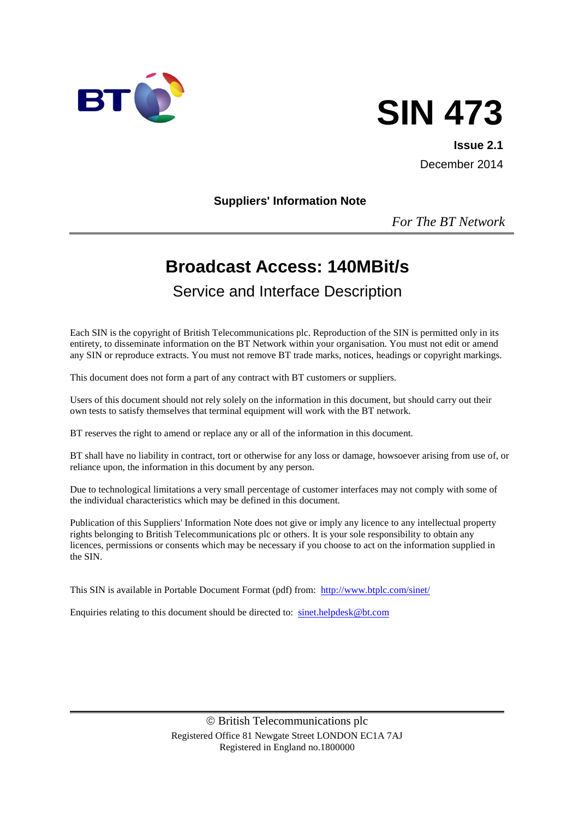



**Issue 2.1** December 2014

#### **Suppliers' Information Note**

*For The BT Network*

# **Broadcast Access: 140MBit/s**

# Service and Interface Description

Each SIN is the copyright of British Telecommunications plc. Reproduction of the SIN is permitted only in its entirety, to disseminate information on the BT Network within your organisation. You must not edit or amend any SIN or reproduce extracts. You must not remove BT trade marks, notices, headings or copyright markings.

This document does not form a part of any contract with BT customers or suppliers.

Users of this document should not rely solely on the information in this document, but should carry out their own tests to satisfy themselves that terminal equipment will work with the BT network.

BT reserves the right to amend or replace any or all of the information in this document.

BT shall have no liability in contract, tort or otherwise for any loss or damage, howsoever arising from use of, or reliance upon, the information in this document by any person.

Due to technological limitations a very small percentage of customer interfaces may not comply with some of the individual characteristics which may be defined in this document.

Publication of this Suppliers' Information Note does not give or imply any licence to any intellectual property rights belonging to British Telecommunications plc or others. It is your sole responsibility to obtain any licences, permissions or consents which may be necessary if you choose to act on the information supplied in the SIN.

This SIN is available in Portable Document Format (pdf) from: <http://www.btplc.com/sinet/>

Enquiries relating to this document should be directed to: [sinet.helpdesk@bt.com](mailto:sinet.helpdesk@bt.com)

 British Telecommunications plc Registered Office 81 Newgate Street LONDON EC1A 7AJ Registered in England no.1800000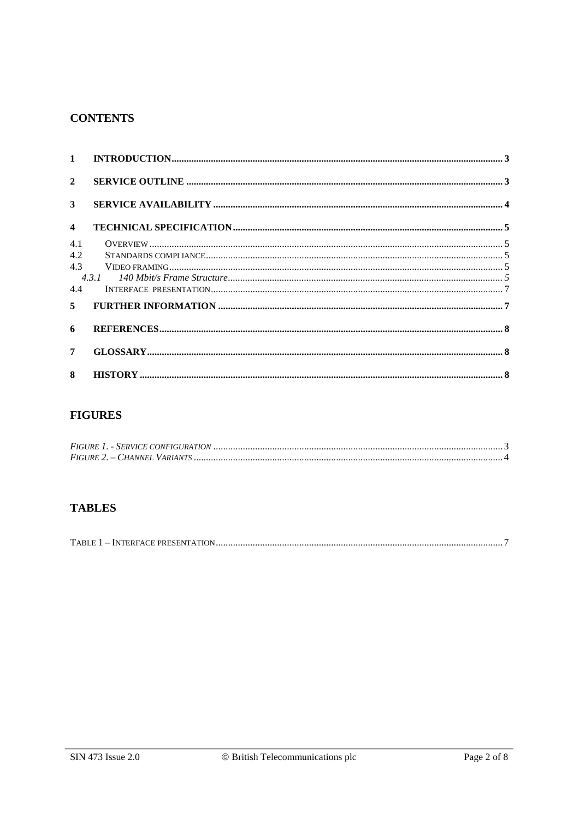#### **CONTENTS**

| $1 \quad$               |  |
|-------------------------|--|
| $\overline{2}$          |  |
| $\mathbf{3}$            |  |
| $\overline{\mathbf{4}}$ |  |
| 4.1                     |  |
| 4.2                     |  |
| 43                      |  |
|                         |  |
| 4.4                     |  |
| 5                       |  |
| 6                       |  |
| $\overline{7}$          |  |
| 8                       |  |

# **FIGURES**

# **TABLES**

|--|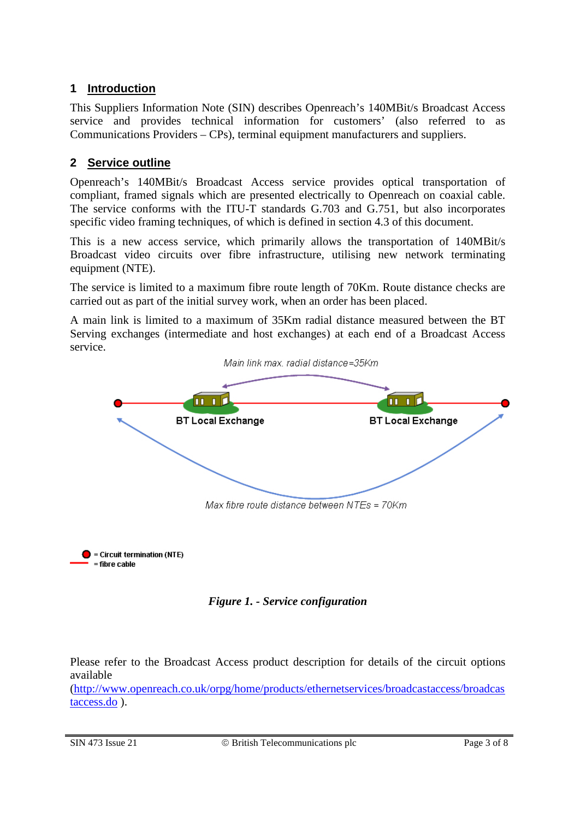# **1 Introduction**

This Suppliers Information Note (SIN) describes Openreach's 140MBit/s Broadcast Access service and provides technical information for customers' (also referred to as Communications Providers – CPs), terminal equipment manufacturers and suppliers.

# **2 Service outline**

Openreach's 140MBit/s Broadcast Access service provides optical transportation of compliant, framed signals which are presented electrically to Openreach on coaxial cable. The service conforms with the ITU-T standards G.703 and G.751, but also incorporates specific video framing techniques, of which is defined in section 4.3 of this document.

This is a new access service, which primarily allows the transportation of 140MBit/s Broadcast video circuits over fibre infrastructure, utilising new network terminating equipment (NTE).

The service is limited to a maximum fibre route length of 70Km. Route distance checks are carried out as part of the initial survey work, when an order has been placed.

A main link is limited to a maximum of 35Km radial distance measured between the BT Serving exchanges (intermediate and host exchanges) at each end of a Broadcast Access service.





Please refer to the Broadcast Access product description for details of the circuit options available

[\(http://www.openreach.co.uk/orpg/home/products/ethernetservices/broadcastaccess/broadcas](http://www.openreach.co.uk/orpg/home/products/ethernetservices/broadcastaccess/broadcastaccess.do) [taccess.do](http://www.openreach.co.uk/orpg/home/products/ethernetservices/broadcastaccess/broadcastaccess.do) ).

 $=$  fibre cable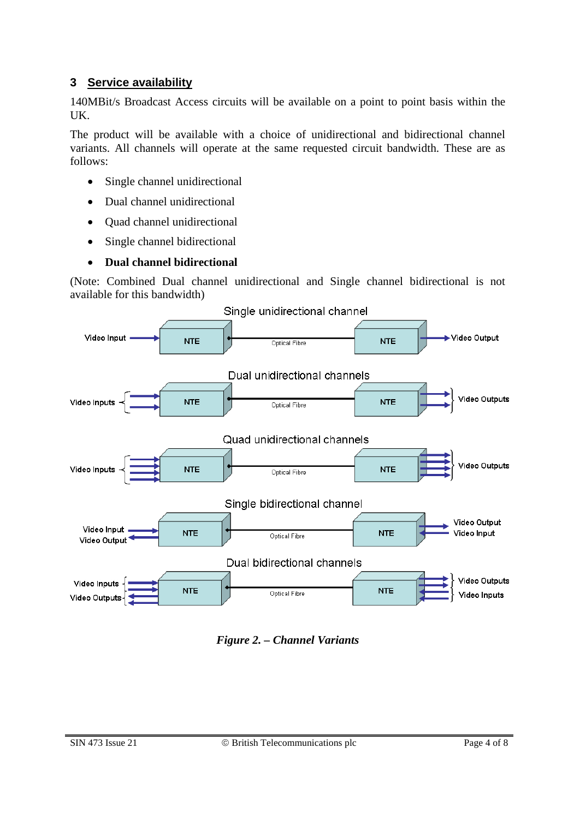#### **3 Service availability**

140MBit/s Broadcast Access circuits will be available on a point to point basis within the UK.

The product will be available with a choice of unidirectional and bidirectional channel variants. All channels will operate at the same requested circuit bandwidth. These are as follows:

- Single channel unidirectional
- Dual channel unidirectional
- Quad channel unidirectional
- Single channel bidirectional
- **Dual channel bidirectional**

(Note: Combined Dual channel unidirectional and Single channel bidirectional is not available for this bandwidth)



*Figure 2. – Channel Variants*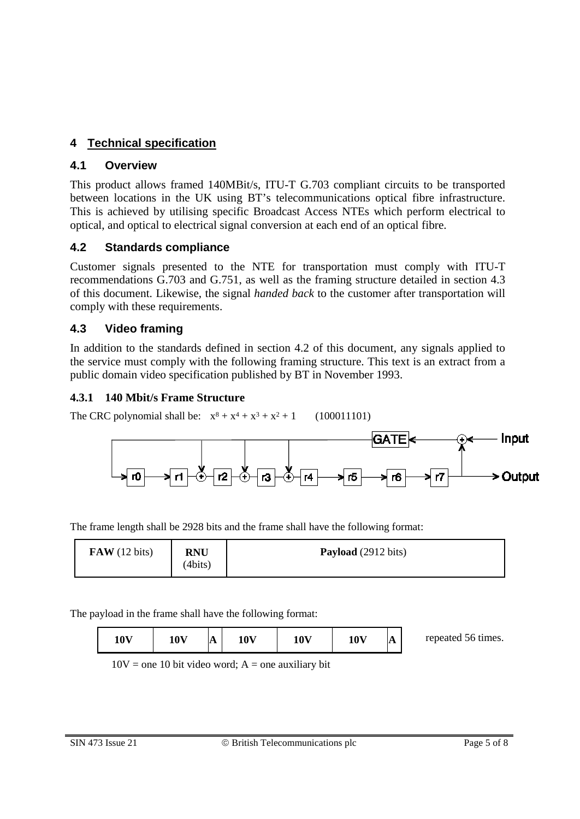# **4 Technical specification**

### **4.1 Overview**

This product allows framed 140MBit/s, ITU-T G.703 compliant circuits to be transported between locations in the UK using BT's telecommunications optical fibre infrastructure. This is achieved by utilising specific Broadcast Access NTEs which perform electrical to optical, and optical to electrical signal conversion at each end of an optical fibre.

# **4.2 Standards compliance**

Customer signals presented to the NTE for transportation must comply with ITU-T recommendations G.703 and G.751, as well as the framing structure detailed in section 4.3 of this document. Likewise, the signal *handed back* to the customer after transportation will comply with these requirements.

# **4.3 Video framing**

In addition to the standards defined in section 4.2 of this document, any signals applied to the service must comply with the following framing structure. This text is an extract from a public domain video specification published by BT in November 1993.

### **4.3.1 140 Mbit/s Frame Structure**

The CRC polynomial shall be:  $x^8 + x^4 + x^3 + x^2 + 1$  (100011101)



The frame length shall be 2928 bits and the frame shall have the following format:

| $\bf{FAW}$ (12 bits) | <b>RNU</b><br>(4bits) | Payload (2912 bits) |
|----------------------|-----------------------|---------------------|
|----------------------|-----------------------|---------------------|

The payload in the frame shall have the following format:

| 10V | 10V | A | 10 <sup>V</sup> | 10 <sub>V</sub> | 10 <sub>V</sub> | A | repeated 56 times. |
|-----|-----|---|-----------------|-----------------|-----------------|---|--------------------|
|-----|-----|---|-----------------|-----------------|-----------------|---|--------------------|

 $10V$  = one 10 bit video word; A = one auxiliary bit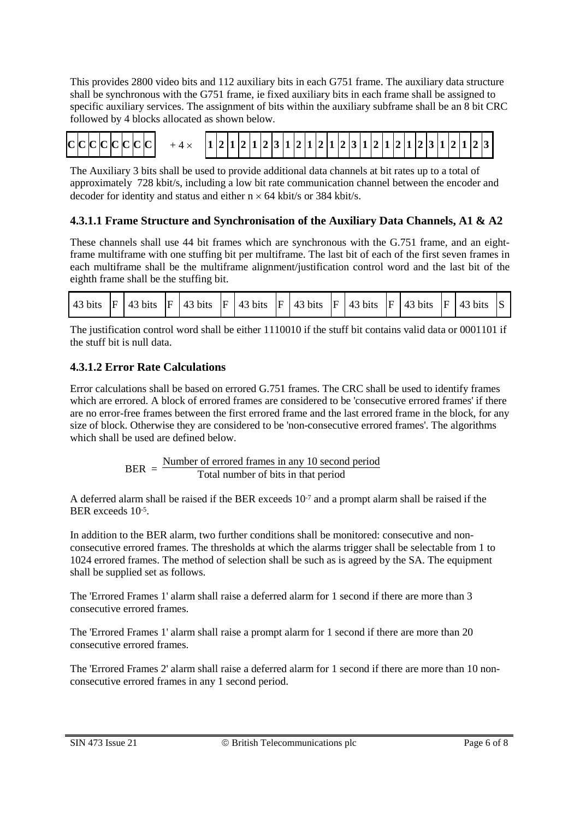This provides 2800 video bits and 112 auxiliary bits in each G751 frame. The auxiliary data structure shall be synchronous with the G751 frame, ie fixed auxiliary bits in each frame shall be assigned to specific auxiliary services. The assignment of bits within the auxiliary subframe shall be an 8 bit CRC followed by 4 blocks allocated as shown below.

# $+4 \times$  |1|2|1|2|3|1|2|1|2|1|2|3|1|2|1|2|3|1|2|3|2|2|3| **C C C C C C C C**

The Auxiliary 3 bits shall be used to provide additional data channels at bit rates up to a total of approximately 728 kbit/s, including a low bit rate communication channel between the encoder and decoder for identity and status and either  $n \times 64$  kbit/s or 384 kbit/s.

### **4.3.1.1 Frame Structure and Synchronisation of the Auxiliary Data Channels, A1 & A2**

These channels shall use 44 bit frames which are synchronous with the G.751 frame, and an eightframe multiframe with one stuffing bit per multiframe. The last bit of each of the first seven frames in each multiframe shall be the multiframe alignment/justification control word and the last bit of the eighth frame shall be the stuffing bit.

| 43 bits |  | $F$ 43 bits |  |  |  | $\vert$ F   43 bits   F   43 bits   F   43 bits   F   43 bits   F   43 bits |  |  |  |  |  |  |  | $ F $ 43 bits |  |
|---------|--|-------------|--|--|--|-----------------------------------------------------------------------------|--|--|--|--|--|--|--|---------------|--|
|---------|--|-------------|--|--|--|-----------------------------------------------------------------------------|--|--|--|--|--|--|--|---------------|--|

The justification control word shall be either 1110010 if the stuff bit contains valid data or 0001101 if the stuff bit is null data.

#### **4.3.1.2 Error Rate Calculations**

Error calculations shall be based on errored G.751 frames. The CRC shall be used to identify frames which are errored. A block of errored frames are considered to be 'consecutive errored frames' if there are no error-free frames between the first errored frame and the last errored frame in the block, for any size of block. Otherwise they are considered to be 'non-consecutive errored frames'. The algorithms which shall be used are defined below.

> BER =  $\frac{\text{Number of errored frames in any 10 second period}}{T}$ Total number of bits in that period

A deferred alarm shall be raised if the BER exceeds 10-7 and a prompt alarm shall be raised if the BER exceeds 10-5.

In addition to the BER alarm, two further conditions shall be monitored: consecutive and nonconsecutive errored frames. The thresholds at which the alarms trigger shall be selectable from 1 to 1024 errored frames. The method of selection shall be such as is agreed by the SA. The equipment shall be supplied set as follows.

The 'Errored Frames 1' alarm shall raise a deferred alarm for 1 second if there are more than 3 consecutive errored frames.

The 'Errored Frames 1' alarm shall raise a prompt alarm for 1 second if there are more than 20 consecutive errored frames.

The 'Errored Frames 2' alarm shall raise a deferred alarm for 1 second if there are more than 10 nonconsecutive errored frames in any 1 second period.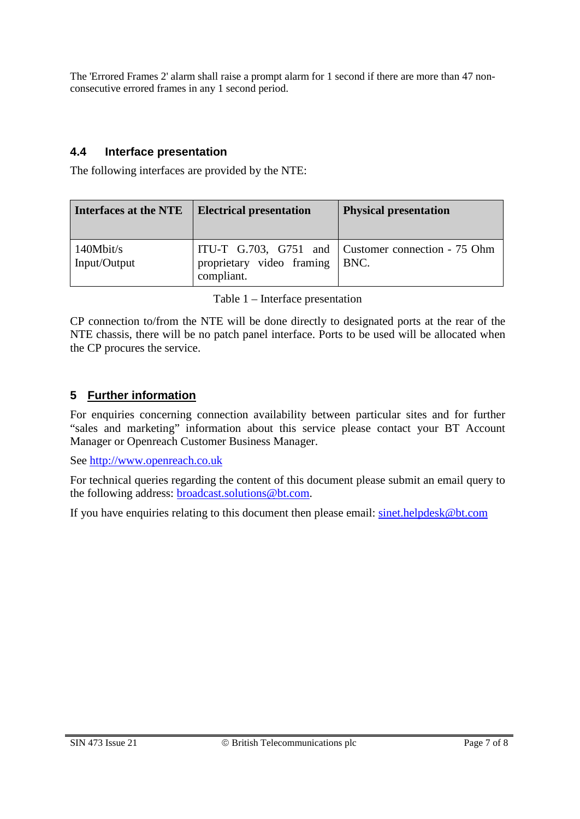The 'Errored Frames 2' alarm shall raise a prompt alarm for 1 second if there are more than 47 nonconsecutive errored frames in any 1 second period.

#### **4.4 Interface presentation**

The following interfaces are provided by the NTE:

| <b>Interfaces at the NTE</b> | <b>Electrical presentation</b> | <b>Physical presentation</b>                       |
|------------------------------|--------------------------------|----------------------------------------------------|
| 140Mbit/s                    | proprietary video framing      | ITU-T G.703, G751 and Customer connection - 75 Ohm |
| Input/Output                 | compliant.                     | BNC.                                               |

|  |  | Table $1$ – Interface presentation |
|--|--|------------------------------------|
|--|--|------------------------------------|

<span id="page-6-0"></span>CP connection to/from the NTE will be done directly to designated ports at the rear of the NTE chassis, there will be no patch panel interface. Ports to be used will be allocated when the CP procures the service.

### **5 Further information**

For enquiries concerning connection availability between particular sites and for further "sales and marketing" information about this service please contact your BT Account Manager or Openreach Customer Business Manager.

See [http://www.openreach.co.uk](http://www.openreach.co.uk/)

For technical queries regarding the content of this document please submit an email query to the following address: [broadcast.solutions@bt.com.](mailto:broadcast.solutions@bt.com)

If you have enquiries relating to this document then please email: [sinet.helpdesk@bt.com](mailto:sinet.helpdesk@bt.com)